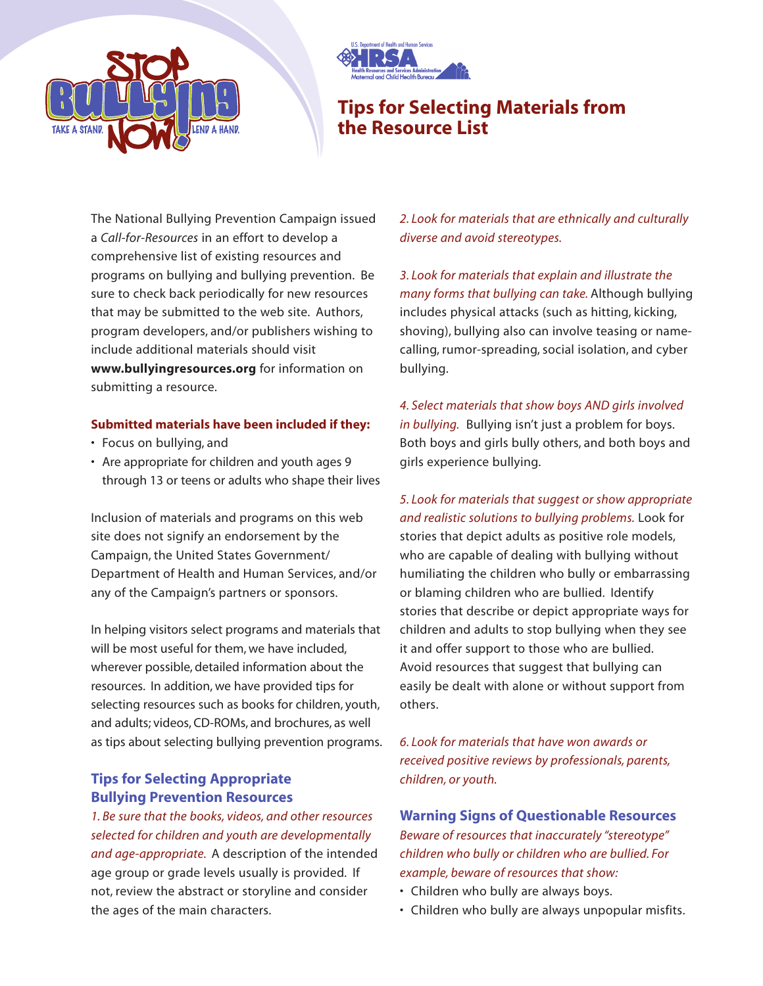



# **Tips for Selecting Materials from the Resource List**

The National Bullying Prevention Campaign issued a *Call-for-Resources* in an effort to develop a comprehensive list of existing resources and programs on bullying and bullying prevention. Be sure to check back periodically for new resources that may be submitted to the web site. Authors, program developers, and/or publishers wishing to include additional materials should visit **www.bullyingresources.org** for information on submitting a resource.

#### **Submitted materials have been included if they:**

- Focus on bullying, and
- Are appropriate for children and youth ages 9 through 13 or teens or adults who shape their lives

Inclusion of materials and programs on this web site does not signify an endorsement by the Campaign, the United States Government/ Department of Health and Human Services, and/or any of the Campaign's partners or sponsors.

In helping visitors select programs and materials that will be most useful for them, we have included. wherever possible, detailed information about the resources. In addition, we have provided tips for selecting resources such as books for children, youth, and adults; videos, CD-ROMs, and brochures, as well as tips about selecting bullying prevention programs.

### **Tips for Selecting Appropriate Bullying Prevention Resources**

*1. Be sure that the books, videos, and other resources selected for children and youth are developmentally and age-appropriate.* A description of the intended age group or grade levels usually is provided. If not, review the abstract or storyline and consider the ages of the main characters.

*2. Look for materials that are ethnically and culturally diverse and avoid stereotypes.*

*3. Look for materials that explain and illustrate the many forms that bullying can take.* Although bullying includes physical attacks (such as hitting, kicking, shoving), bullying also can involve teasing or namecalling, rumor-spreading, social isolation, and cyber bullying.

*4. Select materials that show boys AND girls involved in bullying.* Bullying isn't just a problem for boys. Both boys and girls bully others, and both boys and girls experience bullying.

*5. Look for materials that suggest or show appropriate and realistic solutions to bullying problems.* Look for stories that depict adults as positive role models, who are capable of dealing with bullying without humiliating the children who bully or embarrassing or blaming children who are bullied. Identify stories that describe or depict appropriate ways for children and adults to stop bullying when they see it and offer support to those who are bullied. Avoid resources that suggest that bullying can easily be dealt with alone or without support from others.

*6. Look for materials that have won awards or received positive reviews by professionals, parents, children, or youth.*

**Warning Signs of Questionable Resources** *Beware of resources that inaccurately "stereotype" children who bully or children who are bullied. For example, beware of resources that show:*

- Children who bully are always boys.
- Children who bully are always unpopular misfits.